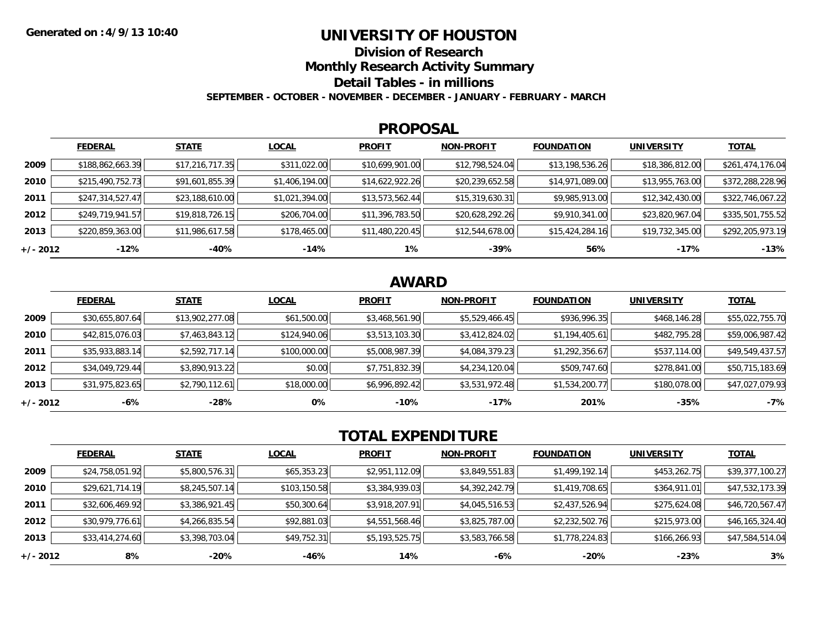### **UNIVERSITY OF HOUSTON**

**Division of Research**

**Monthly Research Activity Summary**

**Detail Tables - in millions**

**SEPTEMBER - OCTOBER - NOVEMBER - DECEMBER - JANUARY - FEBRUARY - MARCH**

#### **PROPOSAL**

|            | <b>FEDERAL</b>   | <b>STATE</b>    | <b>LOCAL</b>   | <b>PROFIT</b>   | <b>NON-PROFIT</b> | <b>FOUNDATION</b> | <b>UNIVERSITY</b> | <b>TOTAL</b>     |
|------------|------------------|-----------------|----------------|-----------------|-------------------|-------------------|-------------------|------------------|
| 2009       | \$188,862,663.39 | \$17,216,717.35 | \$311,022.00   | \$10,699,901.00 | \$12,798,524.04   | \$13,198,536.26   | \$18,386,812.00   | \$261,474,176.04 |
| 2010       | \$215,490,752.73 | \$91,601,855.39 | \$1,406,194.00 | \$14,622,922.26 | \$20,239,652.58   | \$14,971,089.00   | \$13,955,763.00   | \$372,288,228.96 |
| 2011       | \$247,314,527.47 | \$23,188,610.00 | \$1,021,394.00 | \$13,573,562.44 | \$15,319,630.31   | \$9,985,913.00    | \$12,342,430.00   | \$322,746,067.22 |
| 2012       | \$249,719,941.57 | \$19,818,726.15 | \$206,704.00   | \$11,396,783.50 | \$20,628,292.26   | \$9,910,341.00    | \$23,820,967.04   | \$335,501,755.52 |
| 2013       | \$220,859,363.00 | \$11,986,617.58 | \$178,465.00   | \$11,480,220.45 | \$12,544,678.00   | \$15,424,284.16   | \$19,732,345.00   | \$292,205,973.19 |
| $+/- 2012$ | $-12%$           | -40%            | $-14%$         | 1%              | -39%              | 56%               | $-17%$            | $-13%$           |

## **AWARD**

|            | <b>FEDERAL</b>  | <b>STATE</b>    | <b>LOCAL</b> | <b>PROFIT</b>  | <b>NON-PROFIT</b> | <b>FOUNDATION</b> | <b>UNIVERSITY</b> | <u>TOTAL</u>    |
|------------|-----------------|-----------------|--------------|----------------|-------------------|-------------------|-------------------|-----------------|
| 2009       | \$30,655,807.64 | \$13,902,277.08 | \$61,500.00  | \$3,468,561.90 | \$5,529,466.45    | \$936,996.35      | \$468,146.28      | \$55,022,755.70 |
| 2010       | \$42,815,076.03 | \$7,463,843.12  | \$124,940.06 | \$3,513,103.30 | \$3,412,824.02    | \$1,194,405.61    | \$482,795.28      | \$59,006,987.42 |
| 2011       | \$35,933,883.14 | \$2,592,717.14  | \$100,000.00 | \$5,008,987.39 | \$4,084,379.23    | \$1,292,356.67    | \$537,114.00      | \$49,549,437.57 |
| 2012       | \$34,049,729.44 | \$3,890,913.22  | \$0.00       | \$7,751,832.39 | \$4,234,120.04    | \$509,747.60      | \$278,841.00      | \$50,715,183.69 |
| 2013       | \$31,975,823.65 | \$2,790,112.61  | \$18,000.00  | \$6,996,892.42 | \$3,531,972.48    | \$1,534,200.77    | \$180,078.00      | \$47,027,079.93 |
| $+/- 2012$ | -6%             | -28%            | 0%           | $-10%$         | -17%              | 201%              | $-35%$            | $-7%$           |

# **TOTAL EXPENDITURE**

|          | <b>FEDERAL</b>  | <b>STATE</b>   | <b>LOCAL</b> | <b>PROFIT</b>  | <b>NON-PROFIT</b> | <b>FOUNDATION</b> | <b>UNIVERSITY</b> | <b>TOTAL</b>    |
|----------|-----------------|----------------|--------------|----------------|-------------------|-------------------|-------------------|-----------------|
| 2009     | \$24,758,051.92 | \$5,800,576.31 | \$65,353.23  | \$2,951,112.09 | \$3,849,551.83    | \$1,499,192.14    | \$453,262.75      | \$39,377,100.27 |
| 2010     | \$29,621,714.19 | \$8,245,507.14 | \$103,150.58 | \$3,384,939.03 | \$4,392,242.79    | \$1,419,708.65    | \$364,911.01      | \$47,532,173.39 |
| 2011     | \$32,606,469.92 | \$3,386,921.45 | \$50,300.64  | \$3,918,207.91 | \$4,045,516.53    | \$2,437,526.94    | \$275,624.08      | \$46,720,567.47 |
| 2012     | \$30,979,776.61 | \$4,266,835.54 | \$92,881.03  | \$4,551,568.46 | \$3,825,787.00    | \$2,232,502.76    | \$215,973.00      | \$46,165,324.40 |
| 2013     | \$33,414,274.60 | \$3,398,703.04 | \$49,752.31  | \$5,193,525.75 | \$3,583,766.58    | \$1,778,224.83    | \$166,266.93      | \$47,584,514.04 |
| +/- 2012 | 8%              | $-20%$         | -46%         | 14%            | $-6%$             | $-20%$            | $-23%$            | 3%              |